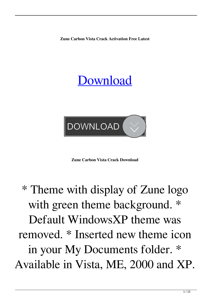**Zune Carbon Vista Crack Activation Free Latest**

## [Download](http://evacdir.com/enVuZSBjYXJib24gdmlzdGEenV/blleps/concentric.moulting/ZG93bmxvYWR8NEltTjJnMWNYeDhNVFkxTkRRek5qWTFPSHg4TWpVNU1IeDhLRTBwSUZkdmNtUndjbVZ6Y3lCYldFMU1VbEJESUZZeUlGQkVSbDA/nonbelievers.ocular.invoke.overthrown)



**Zune Carbon Vista Crack Download**

## \* Theme with display of Zune logo with green theme background. \* Default WindowsXP theme was removed. \* Inserted new theme icon in your My Documents folder. \* Available in Vista, ME, 2000 and XP.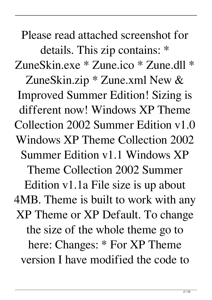Please read attached screenshot for details. This zip contains: \* ZuneSkin.exe \* Zune.ico \* Zune.dll \* ZuneSkin.zip \* Zune.xml New & Improved Summer Edition! Sizing is different now! Windows XP Theme Collection 2002 Summer Edition v1.0 Windows XP Theme Collection 2002 Summer Edition v1.1 Windows XP Theme Collection 2002 Summer Edition v1.1a File size is up about 4MB. Theme is built to work with any XP Theme or XP Default. To change the size of the whole theme go to here: Changes: \* For XP Theme version I have modified the code to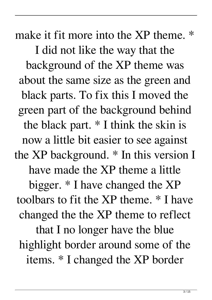make it fit more into the XP theme. \* I did not like the way that the background of the XP theme was about the same size as the green and black parts. To fix this I moved the green part of the background behind the black part. \* I think the skin is now a little bit easier to see against the XP background. \* In this version I have made the XP theme a little bigger. \* I have changed the XP toolbars to fit the XP theme. \* I have changed the the XP theme to reflect that I no longer have the blue highlight border around some of the items. \* I changed the XP border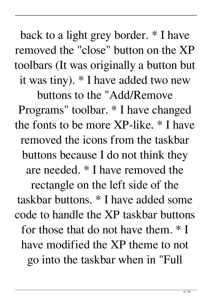back to a light grey border. \* I have removed the "close" button on the XP toolbars (It was originally a button but it was tiny). \* I have added two new

buttons to the "Add/Remove Programs" toolbar. \* I have changed the fonts to be more XP-like. \* I have removed the icons from the taskbar buttons because I do not think they are needed. \* I have removed the rectangle on the left side of the taskbar buttons. \* I have added some code to handle the XP taskbar buttons for those that do not have them. \* I have modified the XP theme to not go into the taskbar when in "Full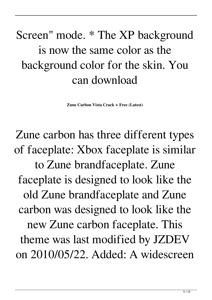## Screen" mode. \* The XP background is now the same color as the background color for the skin. You can download

**Zune Carbon Vista Crack + Free (Latest)**

Zune carbon has three different types of faceplate: Xbox faceplate is similar to Zune brandfaceplate. Zune faceplate is designed to look like the old Zune brandfaceplate and Zune carbon was designed to look like the new Zune carbon faceplate. This theme was last modified by JZDEV on 2010/05/22. Added: A widescreen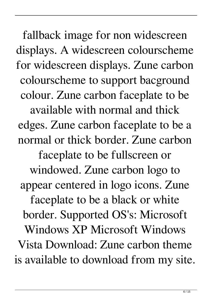fallback image for non widescreen displays. A widescreen colourscheme for widescreen displays. Zune carbon colourscheme to support bacground colour. Zune carbon faceplate to be available with normal and thick edges. Zune carbon faceplate to be a normal or thick border. Zune carbon faceplate to be fullscreen or windowed. Zune carbon logo to appear centered in logo icons. Zune faceplate to be a black or white border. Supported OS's: Microsoft Windows XP Microsoft Windows Vista Download: Zune carbon theme is available to download from my site.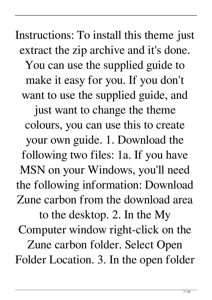Instructions: To install this theme just extract the zip archive and it's done. You can use the supplied guide to make it easy for you. If you don't want to use the supplied guide, and just want to change the theme colours, you can use this to create your own guide. 1. Download the following two files: 1a. If you have MSN on your Windows, you'll need the following information: Download Zune carbon from the download area to the desktop. 2. In the My Computer window right-click on the Zune carbon folder. Select Open Folder Location. 3. In the open folder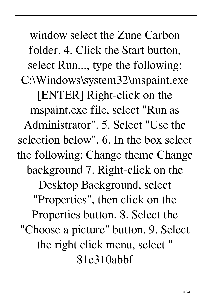window select the Zune Carbon folder. 4. Click the Start button, select Run..., type the following: C:\Windows\system32\mspaint.exe [ENTER] Right-click on the mspaint.exe file, select "Run as Administrator". 5. Select "Use the selection below". 6. In the box select the following: Change theme Change background 7. Right-click on the Desktop Background, select "Properties", then click on the Properties button. 8. Select the "Choose a picture" button. 9. Select the right click menu, select " 81e310abbf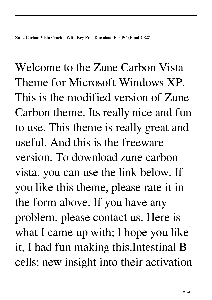Welcome to the Zune Carbon Vista Theme for Microsoft Windows XP. This is the modified version of Zune Carbon theme. Its really nice and fun to use. This theme is really great and useful. And this is the freeware version. To download zune carbon vista, you can use the link below. If you like this theme, please rate it in the form above. If you have any problem, please contact us. Here is what I came up with; I hope you like it, I had fun making this.Intestinal B cells: new insight into their activation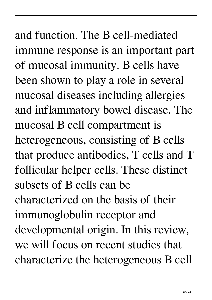and function. The B cell-mediated immune response is an important part of mucosal immunity. B cells have been shown to play a role in several mucosal diseases including allergies and inflammatory bowel disease. The mucosal B cell compartment is heterogeneous, consisting of B cells that produce antibodies, T cells and T follicular helper cells. These distinct subsets of B cells can be characterized on the basis of their immunoglobulin receptor and developmental origin. In this review, we will focus on recent studies that characterize the heterogeneous B cell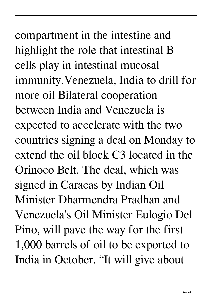compartment in the intestine and highlight the role that intestinal B cells play in intestinal mucosal immunity.Venezuela, India to drill for more oil Bilateral cooperation between India and Venezuela is expected to accelerate with the two countries signing a deal on Monday to extend the oil block C3 located in the Orinoco Belt. The deal, which was signed in Caracas by Indian Oil Minister Dharmendra Pradhan and Venezuela's Oil Minister Eulogio Del Pino, will pave the way for the first 1,000 barrels of oil to be exported to India in October. "It will give about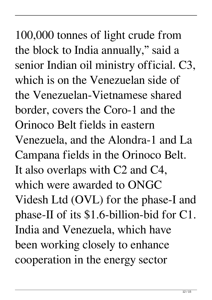100,000 tonnes of light crude from the block to India annually," said a senior Indian oil ministry official. C3, which is on the Venezuelan side of the Venezuelan-Vietnamese shared border, covers the Coro-1 and the Orinoco Belt fields in eastern Venezuela, and the Alondra-1 and La Campana fields in the Orinoco Belt. It also overlaps with C2 and C4, which were awarded to ONGC Videsh Ltd (OVL) for the phase-I and phase-II of its \$1.6-billion-bid for C1. India and Venezuela, which have been working closely to enhance cooperation in the energy sector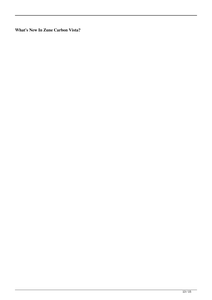**What's New In Zune Carbon Vista?**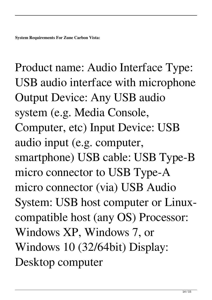Product name: Audio Interface Type: USB audio interface with microphone Output Device: Any USB audio system (e.g. Media Console, Computer, etc) Input Device: USB audio input (e.g. computer, smartphone) USB cable: USB Type-B micro connector to USB Type-A micro connector (via) USB Audio System: USB host computer or Linuxcompatible host (any OS) Processor: Windows XP, Windows 7, or Windows 10 (32/64bit) Display: Desktop computer